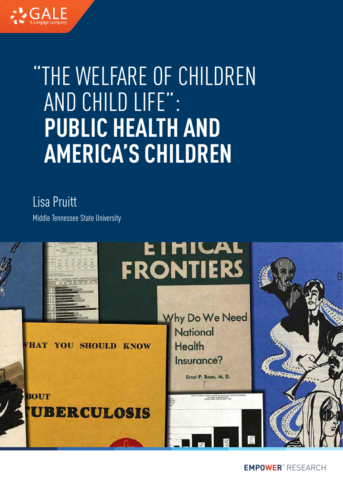

# "THE WELFARE OF CHILDREN AND CHILD LIFE": **PUBLIC HEALTH AND AMERICA'S CHILDREN**

Lisa Pruitt

Middle Tennessee State University

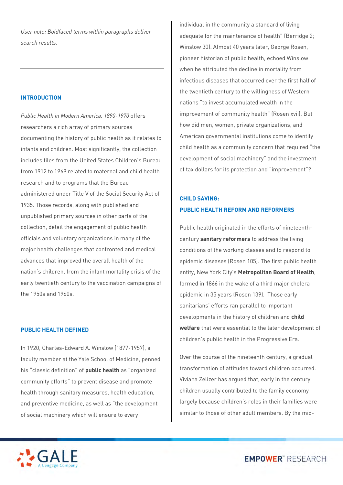*User note: Boldfaced terms within paragraphs deliver search results.*

# **INTRODUCTION**

*Public Health in Modern America, 1890-1970* offers researchers a rich array of primary sources documenting the history of public health as it relates to infants and children. Most significantly, the collection includes files from the United States Children's Bureau from 1912 to 1969 related to maternal and child health research and to programs that the Bureau administered under Title V of the Social Security Act of 1935. Those records, along with published and unpublished primary sources in other parts of the collection, detail the engagement of public health officials and voluntary organizations in many of the major health challenges that confronted and medical advances that improved the overall health of the nation's children, from the infant mortality crisis of the early twentieth century to the vaccination campaigns of the 1950s and 1960s.

#### **PUBLIC HEALTH DEFINED**

In 1920, Charles-Edward A. Winslow (1877-1957), a faculty member at the Yale School of Medicine, penned his "classic definition" of **public health** as "organized community efforts" to prevent disease and promote health through sanitary measures, health education, and preventive medicine, as well as "the development of social machinery which will ensure to every

individual in the community a standard of living adequate for the maintenance of health" (Berridge 2; Winslow 30). Almost 40 years later, George Rosen, pioneer historian of public health, echoed Winslow when he attributed the decline in mortality from infectious diseases that occurred over the first half of the twentieth century to the willingness of Western nations "to invest accumulated wealth in the improvement of community health" (Rosen xvii). But how did men, women, private organizations, and American governmental institutions come to identify child health as a community concern that required "the development of social machinery" and the investment of tax dollars for its protection and "improvement"?

# **CHILD SAVING: PUBLIC HEALTH REFORM AND REFORMERS**

Public health originated in the efforts of nineteenthcentury **sanitary reformers** to address the living conditions of the working classes and to respond to epidemic diseases (Rosen 105). The first public health entity, New York City's **Metropolitan Board of Health**, formed in 1866 in the wake of a third major cholera epidemic in 35 years (Rosen 139). Those early sanitarians' efforts ran parallel to important developments in the history of children and **child welfare** that were essential to the later development of children's public health in the Progressive Era.

Over the course of the nineteenth century, a gradual transformation of attitudes toward children occurred. Viviana Zelizer has argued that, early in the century, children usually contributed to the family economy largely because children's roles in their families were similar to those of other adult members. By the mid-

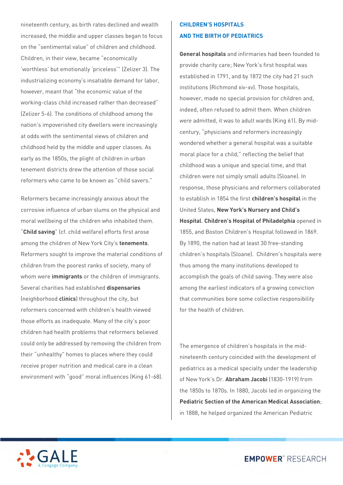nineteenth century, as birth rates declined and wealth increased, the middle and upper classes began to focus on the "sentimental value" of children and childhood. Children, in their view, became "economically 'worthless' but emotionally 'priceless'" (Zelizer 3). The industrializing economy's insatiable demand for labor, however, meant that "the economic value of the working-class child increased rather than decreased" (Zelizer 5-6). The conditions of childhood among the nation's impoverished city dwellers were increasingly at odds with the sentimental views of children and childhood held by the middle and upper classes. As early as the 1850s, the plight of children in urban tenement districts drew the attention of those social reformers who came to be known as "child savers."

Reformers became increasingly anxious about the corrosive influence of urban slums on the physical and moral wellbeing of the children who inhabited them. "**Child saving**" (cf. child welfare) efforts first arose among the children of New York City's **tenements**. Reformers sought to improve the material conditions of children from the poorest ranks of society, many of whom were **immigrants** or the children of immigrants. Several charities had established **dispensaries**  (neighborhood **clinics**) throughout the city, but reformers concerned with children's health viewed those efforts as inadequate. Many of the city's poor children had health problems that reformers believed could only be addressed by removing the children from their "unhealthy" homes to places where they could receive proper nutrition and medical care in a clean environment with "good" moral influences (King 61-68).

# **CHILDREN'S HOSPITALS AND THE BIRTH OF PEDIATRICS**

**General hospitals** and infirmaries had been founded to provide charity care; New York's first hospital was established in 1791, and by 1872 the city had 21 such institutions (Richmond xiv-xv). Those hospitals, however, made no special provision for children and, indeed, often refused to admit them. When children *were* admitted, it was to adult wards (King 61). By midcentury, "physicians and reformers increasingly wondered whether a general hospital was a suitable moral place for a child," reflecting the belief that childhood was a unique and special time, and that children were not simply small adults (Sloane). In response, those physicians and reformers collaborated to establish in 1854 the first **children's hospital** in the United States, **New York's Nursery and Child's Hospital**. **Children's Hospital of Philadelphia** opened in 1855, and Boston Children's Hospital followed in 1869. By 1890, the nation had at least 30 free-standing children's hospitals (Sloane). Children's hospitals were thus among the many institutions developed to accomplish the goals of child saving. They were also among the earliest indicators of a growing conviction that communities bore some collective responsibility for the health of children.

The emergence of children's hospitals in the midnineteenth century coincided with the development of pediatrics as a medical specialty under the leadership of New York's Dr. **Abraham Jacobi** (1830-1919) from the 1850s to 1870s. In 1880, Jacobi led in organizing the **Pediatric Section of the American Medical Association**; in 1888, he helped organized the American Pediatric

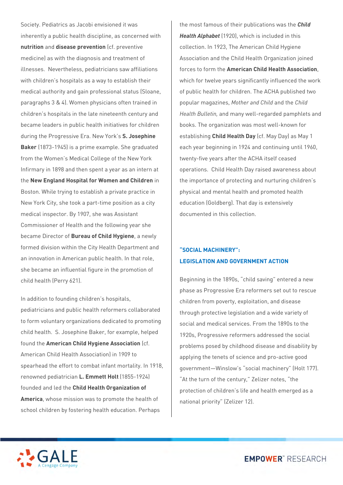Society. Pediatrics as Jacobi envisioned it was inherently a public health discipline, as concerned with **nutrition** and **disease prevention** (cf. preventive medicine) as with the diagnosis and treatment of illnesses. Nevertheless, pediatricians saw affiliations with children's hospitals as a way to establish their medical authority and gain professional status (Sloane, paragraphs 3 & 4). Women physicians often trained in children's hospitals in the late nineteenth century and became leaders in public health initiatives for children during the Progressive Era. New York's **S. Josephine Baker** (1873-1945) is a prime example. She graduated from the Women's Medical College of the New York Infirmary in 1898 and then spent a year as an intern at the **New England Hospital for Women and Children** in Boston. While trying to establish a private practice in New York City, she took a part-time position as a city medical inspector. By 1907, she was Assistant Commissioner of Health and the following year she became Director of **Bureau of Child Hygiene**, a newly formed division within the City Health Department and an innovation in American public health. In that role, she became an influential figure in the promotion of child health (Perry 621).

In addition to founding children's hospitals, pediatricians and public health reformers collaborated to form voluntary organizations dedicated to promoting child health. S. Josephine Baker, for example, helped found the **American Child Hygiene Association** (cf. American Child Health Association) in 1909 to spearhead the effort to combat infant mortality. In 1918, renowned pediatrician **L. Emmett Holt** (1855-1924) founded and led the **Child Health Organization of America**, whose mission was to promote the health of school children by fostering health education. Perhaps

the most famous of their publications was the *Child Health Alphabet* (1920), which is included in this collection. In 1923, The American Child Hygiene Association and the Child Health Organization joined forces to form the **American Child Health Association**, which for twelve years significantly influenced the work of public health for children. The ACHA published two popular magazines, *Mother and Child* and the *Child Health Bulletin,* and many well-regarded pamphlets and books. The organization was most well-known for establishing **Child Health Day** (cf. May Day) as May 1 each year beginning in 1924 and continuing until 1960, twenty-five years after the ACHA itself ceased operations. Child Health Day raised awareness about the importance of protecting and nurturing children's physical and mental health and promoted health education (Goldberg). That day is extensively documented in this collection.

# **"SOCIAL MACHINERY": LEGISLATION AND GOVERNMENT ACTION**

Beginning in the 1890s, "child saving" entered a new phase as Progressive Era reformers set out to rescue children from poverty, exploitation, and disease through protective legislation and a wide variety of social and medical services. From the 1890s to the 1920s, Progressive reformers addressed the social problems posed by childhood disease and disability by applying the tenets of science and pro-active good government—Winslow's "social machinery" (Holt 177). "At the turn of the century," Zelizer notes, "the protection of children's life and health emerged as a national priority" (Zelizer 12).

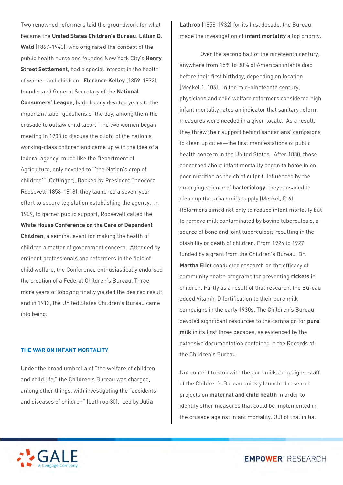Two renowned reformers laid the groundwork for what became the **United States Children's Bureau**. **Lillian D. Wald** (1867-1940), who originated the concept of the public health nurse and founded New York City's **Henry Street Settlement**, had a special interest in the health of women and children. **Florence Kelley** (1859-1832), founder and General Secretary of the **National Consumers' League**, had already devoted years to the important labor questions of the day, among them the crusade to outlaw child labor. The two women began meeting in 1903 to discuss the plight of the nation's working-class children and came up with the idea of a federal agency, much like the Department of Agriculture, only devoted to "'the Nation's crop of children'" (Oettinger). Backed by President Theodore Roosevelt (1858-1818), they launched a seven-year effort to secure legislation establishing the agency. In 1909, to garner public support, Roosevelt called the **White House Conference on the Care of Dependent Children**, a seminal event for making the health of children a matter of government concern. Attended by eminent professionals and reformers in the field of child welfare, the Conference enthusiastically endorsed the creation of a Federal Children's Bureau. Three more years of lobbying finally yielded the desired result and in 1912, the United States Children's Bureau came into being.

# **THE WAR ON INFANT MORTALITY**

Under the broad umbrella of "the welfare of children and child life," the Children's Bureau was charged, among other things, with investigating the "accidents and diseases of children" (Lathrop 30). Led by **Julia** 

**Lathrop** (1858-1932) for its first decade, the Bureau made the investigation of **infant mortality** a top priority.

Over the second half of the nineteenth century, anywhere from 15% to 30% of American infants died before their first birthday, depending on location (Meckel 1, 106). In the mid-nineteenth century, physicians and child welfare reformers considered high infant mortality rates an indicator that sanitary reform measures were needed in a given locale. As a result, they threw their support behind sanitarians' campaigns to clean up cities—the first manifestations of public health concern in the United States. After 1880, those concerned about infant mortality began to home in on poor nutrition as the chief culprit. Influenced by the emerging science of **bacteriology**, they crusaded to clean up the urban milk supply (Meckel, 5-6). Reformers aimed not only to reduce infant mortality but to remove milk contaminated by bovine tuberculosis, a source of bone and joint tuberculosis resulting in the disability or death of children. From 1924 to 1927, funded by a grant from the Children's Bureau, Dr. **Martha Eliot** conducted research on the efficacy of community health programs for preventing **rickets** in children. Partly as a result of that research, the Bureau added Vitamin D fortification to their pure milk campaigns in the early 1930s. The Children's Bureau devoted significant resources to the campaign for **pure milk** in its first three decades, as evidenced by the extensive documentation contained in the Records of the Children's Bureau.

Not content to stop with the pure milk campaigns, staff of the Children's Bureau quickly launched research projects on **maternal and child health** in order to identify other measures that could be implemented in the crusade against infant mortality. Out of that initial

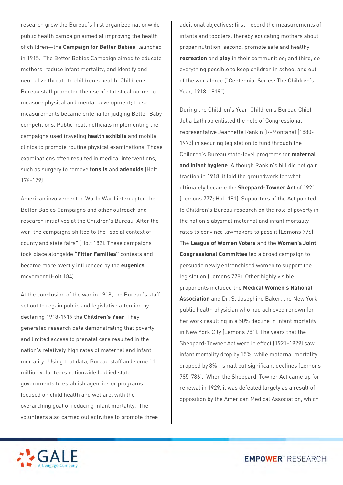research grew the Bureau's first organized nationwide public health campaign aimed at improving the health of children—the **Campaign for Better Babies**, launched in 1915. The Better Babies Campaign aimed to educate mothers, reduce infant mortality, and identify and neutralize threats to children's health. Children's Bureau staff promoted the use of statistical norms to measure physical and mental development; those measurements became criteria for judging Better Baby competitions. Public health officials implementing the campaigns used traveling **health exhibits** and mobile clinics to promote routine physical examinations. Those examinations often resulted in medical interventions, such as surgery to remove **tonsils** and **adenoids** (Holt 176-179).

American involvement in World War I interrupted the Better Babies Campaigns and other outreach and research initiatives at the Children's Bureau. After the war, the campaigns shifted to the "social context of county and state fairs" (Holt 182). These campaigns took place alongside **"Fitter Families"** contests and became more overtly influenced by the **eugenics** movement (Holt 184).

At the conclusion of the war in 1918, the Bureau's staff set out to regain public and legislative attention by declaring 1918-1919 the **Children's Year**. They generated research data demonstrating that poverty and limited access to prenatal care resulted in the nation's relatively high rates of maternal and infant mortality. Using that data, Bureau staff and some 11 million volunteers nationwide lobbied state governments to establish agencies or programs focused on child health and welfare, with the overarching goal of reducing infant mortality. The volunteers also carried out activities to promote three

additional objectives: first, record the measurements of infants and toddlers, thereby educating mothers about proper nutrition; second, promote safe and healthy **recreation** and **play** in their communities; and third, do everything possible to keep children in school and out of the work force ("Centennial Series: The Children's Year, 1918-1919").

During the Children's Year, Children's Bureau Chief Julia Lathrop enlisted the help of Congressional representative Jeannette Rankin (R-Montana) (1880- 1973) in securing legislation to fund through the Children's Bureau state-level programs for **maternal and infant hygiene**. Although Rankin's bill did not gain traction in 1918, it laid the groundwork for what ultimately became the **Sheppard-Towner Act** of 1921 (Lemons 777; Holt 181). Supporters of the Act pointed to Children's Bureau research on the role of poverty in the nation's abysmal maternal and infant mortality rates to convince lawmakers to pass it (Lemons 776). The **League of Women Voters** and the **Women's Joint Congressional Committee** led a broad campaign to persuade newly enfranchised women to support the legislation (Lemons 778). Other highly visible proponents included the **Medical Women's National Association** and Dr. S. Josephine Baker, the New York public health physician who had achieved renown for her work resulting in a 50% decline in infant mortality in New York City (Lemons 781). The years that the Sheppard-Towner Act were in effect (1921-1929) saw infant mortality drop by 15%, while maternal mortality dropped by 8%—small but significant declines (Lemons 785-786). When the Sheppard-Towner Act came up for renewal in 1929, it was defeated largely as a result of opposition by the American Medical Association, which

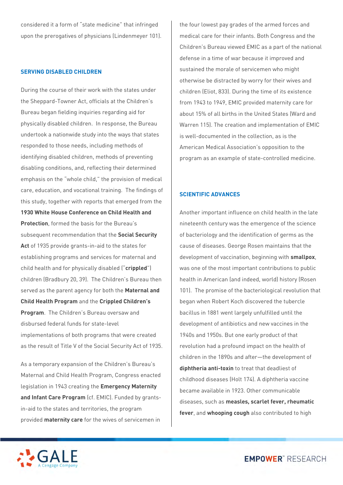considered it a form of "state medicine" that infringed upon the prerogatives of physicians (Lindenmeyer 101).

## **SERVING DISABLED CHILDREN**

During the course of their work with the states under the Sheppard-Towner Act, officials at the Children's Bureau began fielding inquiries regarding aid for physically disabled children. In response, the Bureau undertook a nationwide study into the ways that states responded to those needs, including methods of identifying disabled children, methods of preventing disabling conditions, and, reflecting their determined emphasis on the "whole child," the provision of medical care, education, and vocational training. The findings of this study, together with reports that emerged from the **1930 White House Conference on Child Health and Protection**, formed the basis for the Bureau's subsequent recommendation that the **Social Security Act** of 1935 provide grants-in-aid to the states for establishing programs and services for maternal and child health and for physically disabled ("**crippled**") children (Bradbury 20, 39). The Children's Bureau then served as the parent agency for both the **Maternal and Child Health Program** and the **Crippled Children's Program**. The Children's Bureau oversaw and disbursed federal funds for state-level implementations of both programs that were created as the result of Title V of the Social Security Act of 1935.

As a temporary expansion of the Children's Bureau's Maternal and Child Health Program, Congress enacted legislation in 1943 creating the **Emergency Maternity and Infant Care Program** (cf. EMIC). Funded by grantsin-aid to the states and territories, the program provided **maternity care** for the wives of servicemen in

the four lowest pay grades of the armed forces and medical care for their infants. Both Congress and the Children's Bureau viewed EMIC as a part of the national defense in a time of war because it improved and sustained the morale of servicemen who might otherwise be distracted by worry for their wives and children (Eliot, 833). During the time of its existence from 1943 to 1949, EMIC provided maternity care for about 15% of all births in the United States (Ward and Warren 115). The creation and implementation of EMIC is well-documented in the collection, as is the American Medical Association's opposition to the program as an example of state-controlled medicine.

## **SCIENTIFIC ADVANCES**

Another important influence on child health in the late nineteenth century was the emergence of the science of bacteriology and the identification of germs as the cause of diseases. George Rosen maintains that the development of vaccination, beginning with **smallpox**, was one of the most important contributions to public health in American (and indeed, world) history (Rosen 101). The promise of the bacteriological revolution that began when Robert Koch discovered the tubercle bacillus in 1881 went largely unfulfilled until the development of antibiotics and new vaccines in the 1940s and 1950s. But one early product of that revolution had a profound impact on the health of children in the 1890s and after—the development of **diphtheria anti-toxin** to treat that deadliest of childhood diseases (Holt 174). A diphtheria vaccine became available in 1923. Other communicable diseases, such as **measles, scarlet fever, rheumatic fever**, and **whooping cough** also contributed to high

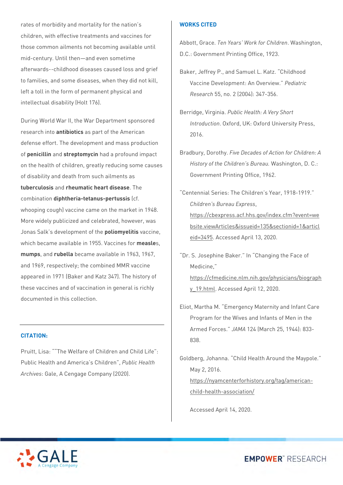rates of morbidity and mortality for the nation's children, with effective treatments and vaccines for those common ailments not becoming available until mid-century. Until then—and even sometime afterwards--childhood diseases caused loss and grief to families, and some diseases, when they did not kill, left a toll in the form of permanent physical and intellectual disability (Holt 176).

During World War II, the War Department sponsored research into **antibiotics** as part of the American defense effort. The development and mass production of **penicillin** and **streptomycin** had a profound impact on the health of children, greatly reducing some causes of disability and death from such ailments as **tuberculosis** and **rheumatic heart disease**. The combination **diphtheria-tetanus-pertussis** (cf. whooping cough) vaccine came on the market in 1948. More widely publicized and celebrated, however, was Jonas Salk's development of the **poliomyelitis** vaccine, which became available in 1955. Vaccines for **measle**s, **mumps**, and **rubella** became available in 1963, 1967, and 1969, respectively; the combined MMR vaccine appeared in 1971 (Baker and Katz 347). The history of these vaccines and of vaccination in general is richly documented in this collection.

## **CITATION:**

Pruitt, Lisa: ""The Welfare of Children and Child Life": Public Health and America's Children", *Public Health Archives*: Gale, A Cengage Company (2020).

## **WORKS CITED**

Abbott, Grace. *Ten Years' Work for Children*. Washington, D.C.: Government Printing Office, 1923.

Baker, Jeffrey P., and Samuel L. Katz. "Childhood Vaccine Development: An Overview." *Pediatric Research* 55, no. 2 (2004): 347-356.

- Berridge, Virginia. *Public Health: A Very Short Introduction*. Oxford, UK: Oxford University Press, 2016.
- Bradbury, Dorothy. *Five Decades of Action for Children: A History of the Children's Bureau.* Washington, D. C.: Government Printing Office, 1962.
- "Centennial Series: The Children's Year, 1918-1919." *Children's Bureau Express*, [https://cbexpress.acf.hhs.gov/index.cfm?event=we](https://cbexpress.acf.hhs.gov/index.cfm?event=website.viewArticles&issueid=135§ionid=1&articleid=3495) [bsite.viewArticles&issueid=135&sectionid=1&articl](https://cbexpress.acf.hhs.gov/index.cfm?event=website.viewArticles&issueid=135§ionid=1&articleid=3495) [eid=3495.](https://cbexpress.acf.hhs.gov/index.cfm?event=website.viewArticles&issueid=135§ionid=1&articleid=3495) Accessed April 13, 2020.
- "Dr. S. Josephine Baker." In "Changing the Face of Medicine," [https://cfmedicine.nlm.nih.gov/physicians/biograph](https://cfmedicine.nlm.nih.gov/physicians/biography_19.html)
	- [y\\_19.html.](https://cfmedicine.nlm.nih.gov/physicians/biography_19.html) Accessed April 12, 2020.
- Eliot, Martha M. "Emergency Maternity and Infant Care Program for the Wives and Infants of Men in the Armed Forces." *JAMA* 124 (March 25, 1944): 833- 838.

Goldberg, Johanna. "Child Health Around the Maypole." May 2, 2016. [https://nyamcenterforhistory.org/tag/american](https://nyamcenterforhistory.org/tag/american-child-health-association/)[child-health-association/](https://nyamcenterforhistory.org/tag/american-child-health-association/)

Accessed April 14, 2020.

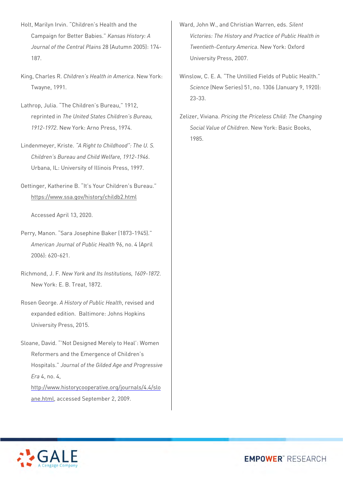- Holt, Marilyn Irvin. "Children's Health and the Campaign for Better Babies." *Kansas History: A Journal of the Central Plains* 28 (Autumn 2005): 174- 187.
- King, Charles R. *Children's Health in America*. New York: Twayne, 1991.
- Lathrop, Julia. "The Children's Bureau," 1912, reprinted in *The United States Children's Bureau, 1912-1972*. New York: Arno Press, 1974.
- Lindenmeyer, Kriste. *"A Right to Childhood": The U. S. Children's Bureau and Child Welfare, 1912-1946*. Urbana, IL: University of Illinois Press, 1997.
- Oettinger, Katherine B. "It's Your Children's Bureau." <https://www.ssa.gov/history/childb2.html>

Accessed April 13, 2020.

- Perry, Manon. "Sara Josephine Baker (1873-1945)." *American Journal of Public Health* 96, no. 4 (April 2006): 620-621.
- Richmond, J. F. *New York and Its Institutions, 1609-1872*. New York: E. B. Treat, 1872.
- Rosen George. *A History of Public Health*, revised and expanded edition. Baltimore: Johns Hopkins University Press, 2015.
- Sloane, David. "'Not Designed Merely to Heal': Women Reformers and the Emergence of Children's Hospitals." *Journal of the Gilded Age and Progressive Era* 4, no. 4, [http://www.historycooperative.org/journals/4.4/slo](http://www.historycooperative.org/journals/4.4/sloane.html)
	- [ane.html,](http://www.historycooperative.org/journals/4.4/sloane.html) accessed September 2, 2009.
- Ward, John W., and Christian Warren, eds. *Silent Victories: The History and Practice of Public Health in Twentieth-Century America*. New York: Oxford University Press, 2007.
- Winslow, C. E. A. "The Untilled Fields of Public Health." *Science* (New Series) 51, no. 1306 (January 9, 1920): 23-33.
- Zelizer, Viviana. *Pricing the Priceless Child: The Changing Social Value of Children*. New York: Basic Books, 1985.